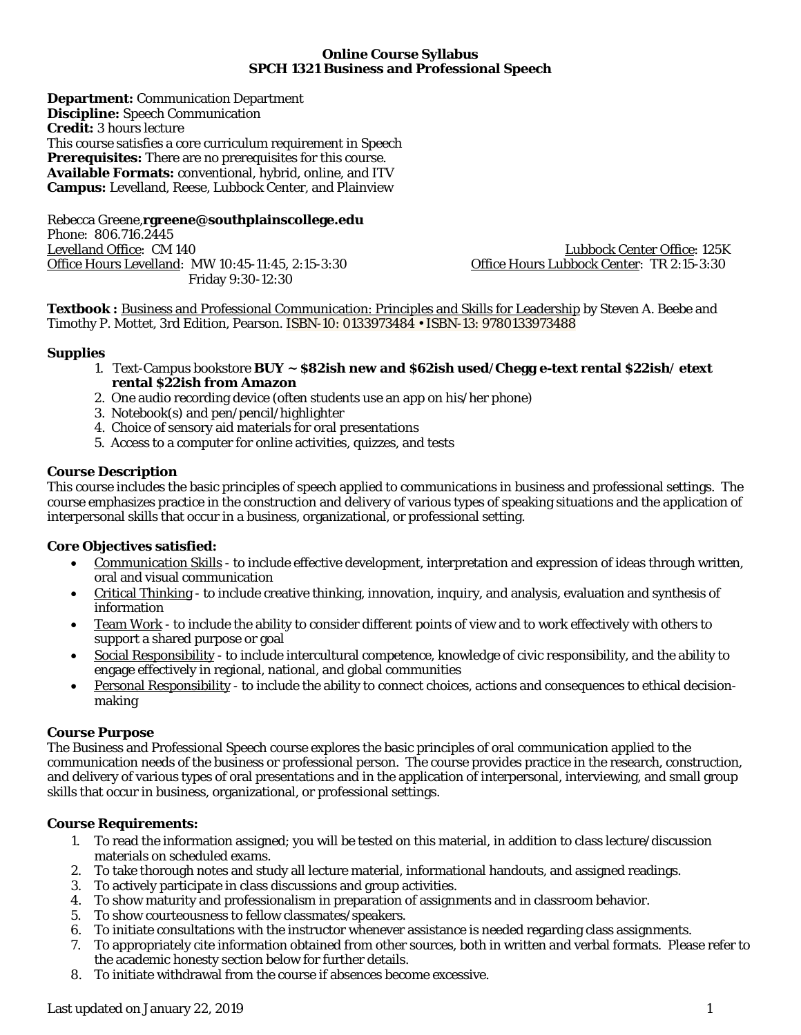# **Online Course Syllabus SPCH 1321 Business and Professional Speech**

**Department:** Communication Department **Discipline:** Speech Communication **Credit:** 3 hours lecture This course satisfies a core curriculum requirement in Speech **Prerequisites:** There are no prerequisites for this course. **Available Formats:** conventional, hybrid, online, and ITV **Campus:** Levelland, Reese, Lubbock Center, and Plainview

Rebecca Greene,**rgreene@southplainscollege.edu** Phone: 806.716.2445<br>Levelland Office: CM 140 Office Hours Levelland: MW 10:45-11:45, 2:15-3:30 Friday 9:30-12:30

Lubbock Center Office: 125K<br>Office Hours Lubbock Center: TR 2:15-3:30

**Textbook :** Business and Professional Communication: Principles and Skills for Leadership by Steven A. Beebe and Timothy P. Mottet, 3rd Edition, Pearson. ISBN-10: 0133973484 • ISBN-13: 9780133973488

# **Supplies**

- 1. Text-Campus bookstore **BUY ~ \$82ish new and \$62ish used**/**Chegg e-text rental \$22ish**/ **etext rental \$22ish from Amazon**
- 2. One audio recording device (often students use an app on his/her phone)
- 3. Notebook(s) and pen/pencil/highlighter
- 4. Choice of sensory aid materials for oral presentations
- 5. Access to a computer for online activities, quizzes, and tests

# **Course Description**

This course includes the basic principles of speech applied to communications in business and professional settings. The course emphasizes practice in the construction and delivery of various types of speaking situations and the application of interpersonal skills that occur in a business, organizational, or professional setting.

# **Core Objectives satisfied:**

- Communication Skills to include effective development, interpretation and expression of ideas through written, oral and visual communication
- Critical Thinking to include creative thinking, innovation, inquiry, and analysis, evaluation and synthesis of information
- Team Work to include the ability to consider different points of view and to work effectively with others to support a shared purpose or goal
- Social Responsibility to include intercultural competence, knowledge of civic responsibility, and the ability to engage effectively in regional, national, and global communities
- Personal Responsibility to include the ability to connect choices, actions and consequences to ethical decisionmaking

#### **Course Purpose**

The Business and Professional Speech course explores the basic principles of oral communication applied to the communication needs of the business or professional person. The course provides practice in the research, construction, and delivery of various types of oral presentations and in the application of interpersonal, interviewing, and small group skills that occur in business, organizational, or professional settings.

#### **Course Requirements:**

- 1. To read the information assigned; you will be tested on this material, in addition to class lecture/discussion materials on scheduled exams.
- 2. To take thorough notes and study all lecture material, informational handouts, and assigned readings.
- 3. To actively participate in class discussions and group activities.
- 4. To show maturity and professionalism in preparation of assignments and in classroom behavior.
- 5. To show courteousness to fellow classmates/speakers.
- 6. To initiate consultations with the instructor whenever assistance is needed regarding class assignments.
- 7. To appropriately cite information obtained from other sources, both in written and verbal formats. Please refer to the academic honesty section below for further details.
- 8. To initiate withdrawal from the course if absences become excessive.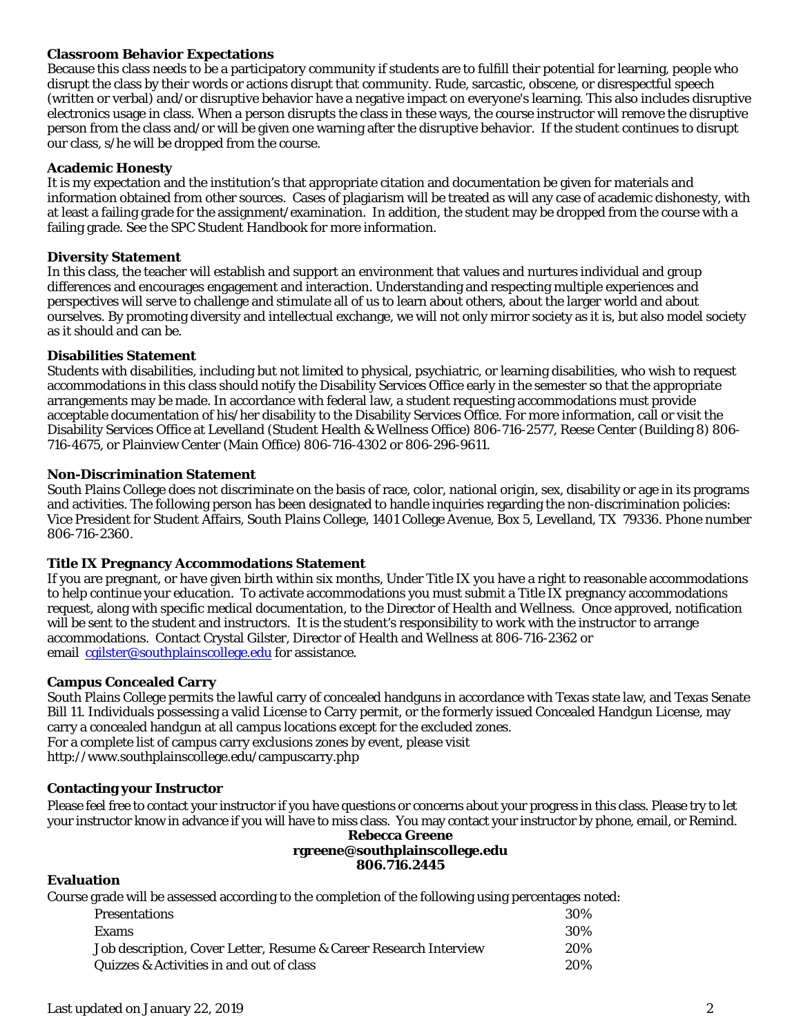# **Classroom Behavior Expectations**

Because this class needs to be a participatory community if students are to fulfill their potential for learning, people who disrupt the class by their words or actions disrupt that community. Rude, sarcastic, obscene, or disrespectful speech (written or verbal) and/or disruptive behavior have a negative impact on everyone's learning. This also includes disruptive electronics usage in class. When a person disrupts the class in these ways, the course instructor will remove the disruptive person from the class and/or will be given one warning after the disruptive behavior. If the student continues to disrupt our class, s/he will be dropped from the course.

#### **Academic Honesty**

It is my expectation and the institution's that appropriate citation and documentation be given for materials and information obtained from other sources. Cases of plagiarism will be treated as will any case of academic dishonesty, with at least a failing grade for the assignment/examination. In addition, the student may be dropped from the course with a failing grade. See the SPC Student Handbook for more information.

#### **Diversity Statement**

In this class, the teacher will establish and support an environment that values and nurtures individual and group differences and encourages engagement and interaction. Understanding and respecting multiple experiences and perspectives will serve to challenge and stimulate all of us to learn about others, about the larger world and about ourselves. By promoting diversity and intellectual exchange, we will not only mirror society as it is, but also model society as it should and can be.

# **Disabilities Statement**

Students with disabilities, including but not limited to physical, psychiatric, or learning disabilities, who wish to request accommodations in this class should notify the Disability Services Office early in the semester so that the appropriate arrangements may be made. In accordance with federal law, a student requesting accommodations must provide acceptable documentation of his/her disability to the Disability Services Office. For more information, call or visit the Disability Services Office at Levelland (Student Health & Wellness Office) 806-716-2577, Reese Center (Building 8) 806- 716-4675, or Plainview Center (Main Office) 806-716-4302 or 806-296-9611.

# **Non-Discrimination Statement**

South Plains College does not discriminate on the basis of race, color, national origin, sex, disability or age in its programs and activities. The following person has been designated to handle inquiries regarding the non-discrimination policies: Vice President for Student Affairs, South Plains College, 1401 College Avenue, Box 5, Levelland, TX 79336. Phone number 806-716-2360.

#### **Title IX Pregnancy Accommodations Statement**

If you are pregnant, or have given birth within six months, Under Title IX you have a right to reasonable accommodations to help continue your education. To activate accommodations you must submit a Title IX pregnancy accommodations request, along with specific medical documentation, to the Director of Health and Wellness. Once approved, notification will be sent to the student and instructors. It is the student's responsibility to work with the instructor to arrange accommodations. Contact Crystal Gilster, Director of Health and Wellness at 806-716-2362 or email consister@southplainscollege.edu for assistance.

# **Campus Concealed Carry**

South Plains College permits the lawful carry of concealed handguns in accordance with Texas state law, and Texas Senate Bill 11. Individuals possessing a valid License to Carry permit, or the formerly issued Concealed Handgun License, may carry a concealed handgun at all campus locations except for the excluded zones. For a complete list of campus carry exclusions zones by event, please visit http://www.southplainscollege.edu/campuscarry.php

#### **Contacting your Instructor**

Please feel free to contact your instructor if you have questions or concerns about your progress in this class. Please try to let your instructor know in advance if you will have to miss class. You may contact your instructor by phone, email, or Remind.

**Rebecca Greene rgreene@southplainscollege.edu**

# **806.716.2445**

#### **Evaluation**

Course grade will be assessed according to the completion of the following using percentages noted:

| <b>Presentations</b>                                              | 30% |
|-------------------------------------------------------------------|-----|
| <b>Exams</b>                                                      | 30% |
| Job description, Cover Letter, Resume & Career Research Interview | 20% |
| Quizzes & Activities in and out of class                          | 20% |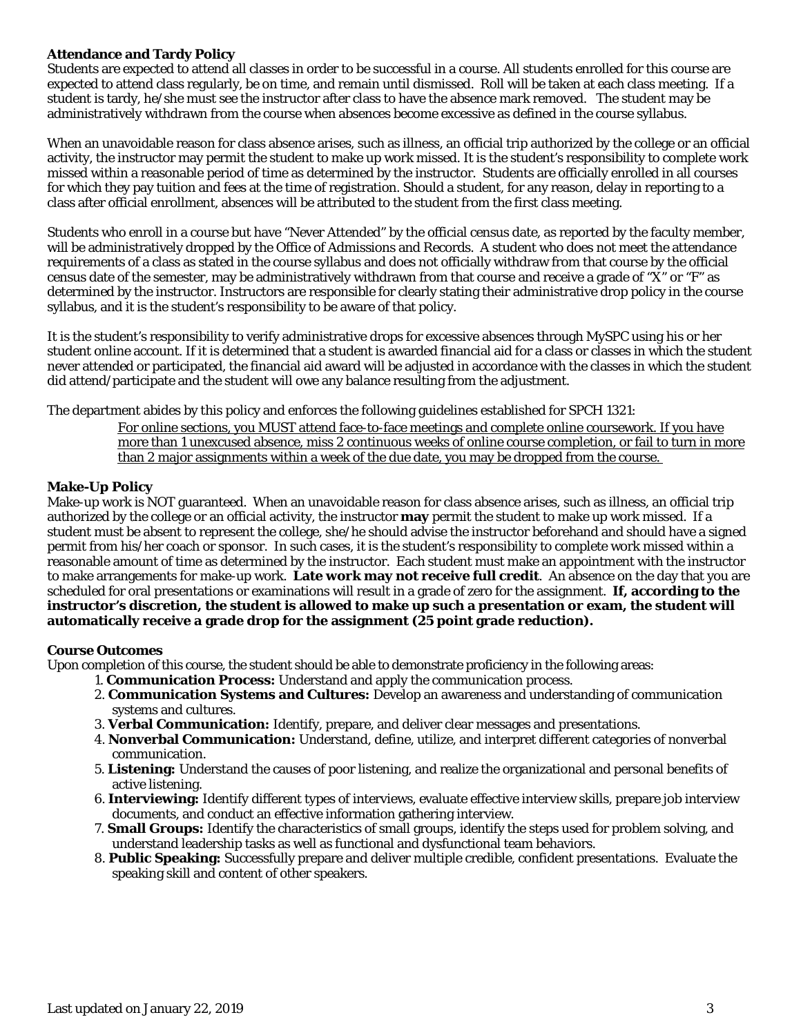# **Attendance and Tardy Policy**

Students are expected to attend all classes in order to be successful in a course. All students enrolled for this course are expected to attend class regularly, be on time, and remain until dismissed. Roll will be taken at each class meeting. If a student is tardy, he/she must see the instructor after class to have the absence mark removed. The student may be administratively withdrawn from the course when absences become excessive as defined in the course syllabus.

When an unavoidable reason for class absence arises, such as illness, an official trip authorized by the college or an official activity, the instructor may permit the student to make up work missed. It is the student's responsibility to complete work missed within a reasonable period of time as determined by the instructor. Students are officially enrolled in all courses for which they pay tuition and fees at the time of registration. Should a student, for any reason, delay in reporting to a class after official enrollment, absences will be attributed to the student from the first class meeting.

Students who enroll in a course but have "Never Attended" by the official census date, as reported by the faculty member, will be administratively dropped by the Office of Admissions and Records. A student who does not meet the attendance requirements of a class as stated in the course syllabus and does not officially withdraw from that course by the official census date of the semester, may be administratively withdrawn from that course and receive a grade of "X" or "F" as determined by the instructor. Instructors are responsible for clearly stating their administrative drop policy in the course syllabus, and it is the student's responsibility to be aware of that policy.

It is the student's responsibility to verify administrative drops for excessive absences through MySPC using his or her student online account. If it is determined that a student is awarded financial aid for a class or classes in which the student never attended or participated, the financial aid award will be adjusted in accordance with the classes in which the student did attend/participate and the student will owe any balance resulting from the adjustment.

The department abides by this policy and enforces the following guidelines established for SPCH 1321:

For online sections, you MUST attend face-to-face meetings and complete online coursework. If you have more than 1 unexcused absence, miss 2 continuous weeks of online course completion, or fail to turn in more than 2 major assignments within a week of the due date, you may be dropped from the course.

# **Make-Up Policy**

Make-up work is NOT guaranteed. When an unavoidable reason for class absence arises, such as illness, an official trip authorized by the college or an official activity, the instructor **may** permit the student to make up work missed. If a student must be absent to represent the college, she/he should advise the instructor beforehand and should have a signed permit from his/her coach or sponsor. In such cases, it is the student's responsibility to complete work missed within a reasonable amount of time as determined by the instructor. Each student must make an appointment with the instructor to make arrangements for make-up work. **Late work may not receive full credit**. An absence on the day that you are scheduled for oral presentations or examinations will result in a grade of zero for the assignment. **If, according to the instructor's discretion, the student is allowed to make up such a presentation or exam, the student will automatically receive a grade drop for the assignment (25 point grade reduction).**

#### **Course Outcomes**

Upon completion of this course, the student should be able to demonstrate proficiency in the following areas:

- 1. **Communication Process:** Understand and apply the communication process.
- 2. **Communication Systems and Cultures:** Develop an awareness and understanding of communication systems and cultures.
- 3. **Verbal Communication:** Identify, prepare, and deliver clear messages and presentations.
- 4. **Nonverbal Communication:** Understand, define, utilize, and interpret different categories of nonverbal communication.
- 5. **Listening:** Understand the causes of poor listening, and realize the organizational and personal benefits of active listening.
- 6. **Interviewing:** Identify different types of interviews, evaluate effective interview skills, prepare job interview documents, and conduct an effective information gathering interview.
- 7. **Small Groups:** Identify the characteristics of small groups, identify the steps used for problem solving, and understand leadership tasks as well as functional and dysfunctional team behaviors.
- 8. **Public Speaking:** Successfully prepare and deliver multiple credible, confident presentations. Evaluate the speaking skill and content of other speakers.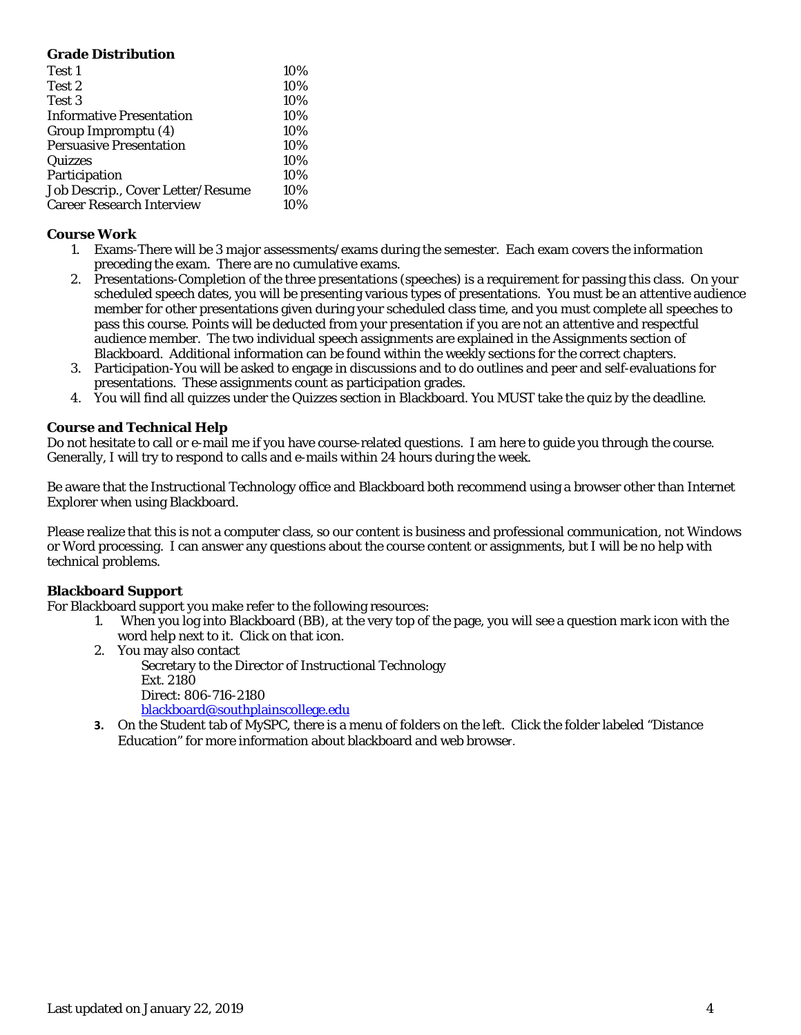| <b>Grade Distribution</b>         |     |
|-----------------------------------|-----|
| Test 1                            | 10% |
| Test 2                            | 10% |
| Test 3                            | 10% |
| <b>Informative Presentation</b>   | 10% |
| Group Impromptu (4)               | 10% |
| <b>Persuasive Presentation</b>    | 10% |
| Quizzes                           | 10% |
| Participation                     | 10% |
| Job Descrip., Cover Letter/Resume | 10% |
| <b>Career Research Interview</b>  | 10% |

# **Course Work**

- 1. Exams-There will be 3 major assessments/exams during the semester. Each exam covers the information preceding the exam. There are no cumulative exams.
- 2. Presentations-Completion of the three presentations (speeches) is a requirement for passing this class. On your scheduled speech dates, you will be presenting various types of presentations. You must be an attentive audience member for other presentations given during your scheduled class time, and you must complete all speeches to pass this course. Points will be deducted from your presentation if you are not an attentive and respectful audience member. The two individual speech assignments are explained in the Assignments section of Blackboard. Additional information can be found within the weekly sections for the correct chapters.
- 3. Participation-You will be asked to engage in discussions and to do outlines and peer and self-evaluations for presentations. These assignments count as participation grades.
- 4. You will find all quizzes under the Quizzes section in Blackboard. You MUST take the quiz by the deadline.

# **Course and Technical Help**

Do not hesitate to call or e-mail me if you have course-related questions. I am here to guide you through the course. Generally, I will try to respond to calls and e-mails within 24 hours during the week.

Be aware that the Instructional Technology office and Blackboard both recommend using a browser other than Internet Explorer when using Blackboard.

Please realize that this is not a computer class, so our content is business and professional communication, not Windows or Word processing. I can answer any questions about the course content or assignments, but I will be no help with technical problems.

#### **Blackboard Support**

For Blackboard support you make refer to the following resources:

- 1. When you log into Blackboard (BB), at the very top of the page, you will see a question mark icon with the word help next to it. Click on that icon.
- 2. You may also contact

Secretary to the Director of Instructional Technology Ext. 2180 Direct: 806-716-2180 [blackboard@southplainscollege.edu](mailto:jetucker@southplainscollege.edu)

**3.** On the Student tab of MySPC, there is a menu of folders on the left. Click the folder labeled "Distance Education" for more information about blackboard and web browser.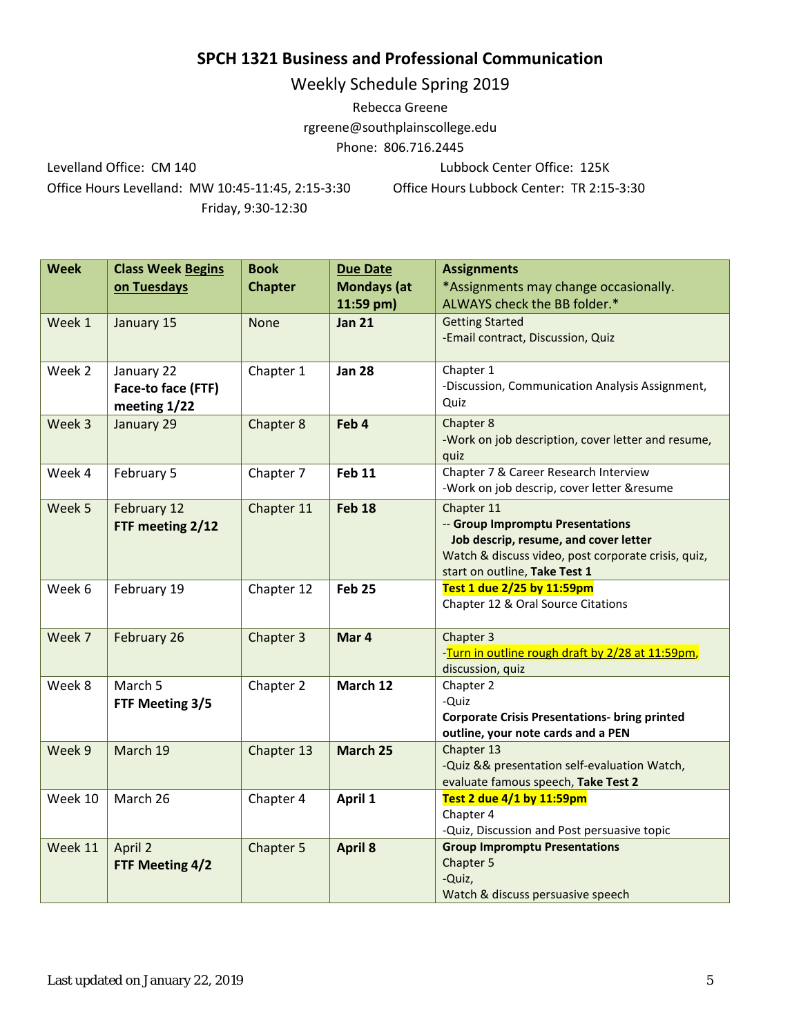# **SPCH 1321 Business and Professional Communication**

Weekly Schedule Spring 2019

Rebecca Greene rgreene@southplainscollege.edu Phone: 806.716.2445

Levelland Office: CM 140 Lubbock Center Office: 125K

Office Hours Levelland: MW 10:45-11:45, 2:15-3:30 Office Hours Lubbock Center: TR 2:15-3:30 Friday, 9:30-12:30

| <b>Week</b> | <b>Class Week Begins</b> | <b>Book</b>    | <b>Due Date</b>    | <b>Assignments</b>                                   |
|-------------|--------------------------|----------------|--------------------|------------------------------------------------------|
|             | on Tuesdays              | <b>Chapter</b> | <b>Mondays</b> (at | *Assignments may change occasionally.                |
|             |                          |                | 11:59 pm)          | ALWAYS check the BB folder.*                         |
| Week 1      | January 15               | <b>None</b>    | <b>Jan 21</b>      | <b>Getting Started</b>                               |
|             |                          |                |                    | -Email contract, Discussion, Quiz                    |
| Week 2      | January 22               | Chapter 1      | <b>Jan 28</b>      | Chapter 1                                            |
|             | Face-to face (FTF)       |                |                    | -Discussion, Communication Analysis Assignment,      |
|             | meeting 1/22             |                |                    | Quiz                                                 |
| Week 3      | January 29               | Chapter 8      | Feb 4              | Chapter 8                                            |
|             |                          |                |                    | -Work on job description, cover letter and resume,   |
|             |                          |                |                    | quiz                                                 |
| Week 4      | February 5               | Chapter 7      | <b>Feb 11</b>      | Chapter 7 & Career Research Interview                |
|             |                          |                |                    | -Work on job descrip, cover letter &resume           |
| Week 5      | February 12              | Chapter 11     | <b>Feb 18</b>      | Chapter 11                                           |
|             | FTF meeting 2/12         |                |                    | -- Group Impromptu Presentations                     |
|             |                          |                |                    | Job descrip, resume, and cover letter                |
|             |                          |                |                    | Watch & discuss video, post corporate crisis, quiz,  |
|             |                          |                |                    | start on outline, Take Test 1                        |
| Week 6      | February 19              | Chapter 12     | <b>Feb 25</b>      | Test 1 due 2/25 by 11:59pm                           |
|             |                          |                |                    | Chapter 12 & Oral Source Citations                   |
| Week 7      | February 26              | Chapter 3      | Mar 4              | Chapter 3                                            |
|             |                          |                |                    | -Turn in outline rough draft by 2/28 at 11:59pm,     |
|             |                          |                |                    | discussion, quiz                                     |
| Week 8      | March 5                  | Chapter 2      | March 12           | Chapter 2                                            |
|             | FTF Meeting 3/5          |                |                    | -Quiz                                                |
|             |                          |                |                    | <b>Corporate Crisis Presentations- bring printed</b> |
|             |                          |                |                    | outline, your note cards and a PEN                   |
| Week 9      | March 19                 | Chapter 13     | March 25           | Chapter 13                                           |
|             |                          |                |                    | -Quiz && presentation self-evaluation Watch,         |
|             |                          |                |                    | evaluate famous speech, Take Test 2                  |
| Week 10     | March 26                 | Chapter 4      | April 1            | Test 2 due 4/1 by 11:59pm                            |
|             |                          |                |                    | Chapter 4                                            |
|             |                          |                |                    | -Quiz, Discussion and Post persuasive topic          |
| Week 11     | April 2                  | Chapter 5      | <b>April 8</b>     | <b>Group Impromptu Presentations</b><br>Chapter 5    |
|             | FTF Meeting 4/2          |                |                    | -Quiz,                                               |
|             |                          |                |                    | Watch & discuss persuasive speech                    |
|             |                          |                |                    |                                                      |